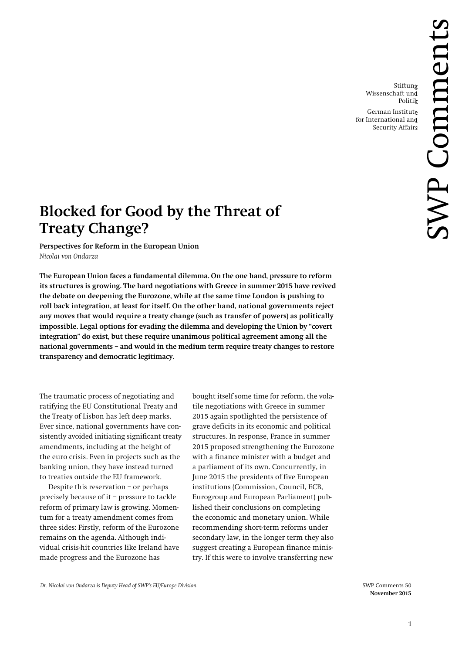Stiftung Wissenschaft und Politik

German Institute for International and Security Affairs

# **Blocked for Good by the Threat of Treaty Change?**

**Perspectives for Reform in the European Union** *Nicolai von Ondarza*

**The European Union faces a fundamental dilemma. On the one hand, pressure to reform its structures is growing. The hard negotiations with Greece in summer 2015 have revived the debate on deepening the Eurozone, while at the same time London is pushing to roll back integration, at least for itself. On the other hand, national governments reject any moves that would require a treaty change (such as transfer of powers) as politically impossible. Legal options for evading the dilemma and developing the Union by "covert integration" do exist, but these require unanimous political agreement among all the national governments – and would in the medium term require treaty changes to restore transparency and democratic legitimacy.**

The traumatic process of negotiating and ratifying the EU Constitutional Treaty and the Treaty of Lisbon has left deep marks. Ever since, national governments have consistently avoided initiating significant treaty amendments, including at the height of the euro crisis. Even in projects such as the banking union, they have instead turned to treaties outside the EU framework.

Despite this reservation – or perhaps precisely because of it – pressure to tackle reform of primary law is growing. Momentum for a treaty amendment comes from three sides: Firstly, reform of the Eurozone remains on the agenda. Although individual crisis-hit countries like Ireland have made progress and the Eurozone has

bought itself some time for reform, the volatile negotiations with Greece in summer 2015 again spotlighted the persistence of grave deficits in its economic and political structures. In response, France in summer 2015 proposed strengthening the Eurozone with a finance minister with a budget and a parliament of its own. Concurrently, in June 2015 the presidents of five European institutions (Commission, Council, ECB, Eurogroup and European Parliament) published their conclusions on completing the economic and monetary union. While recommending short-term reforms under secondary law, in the longer term they also suggest creating a European finance ministry. If this were to involve transferring new

 **November 2015**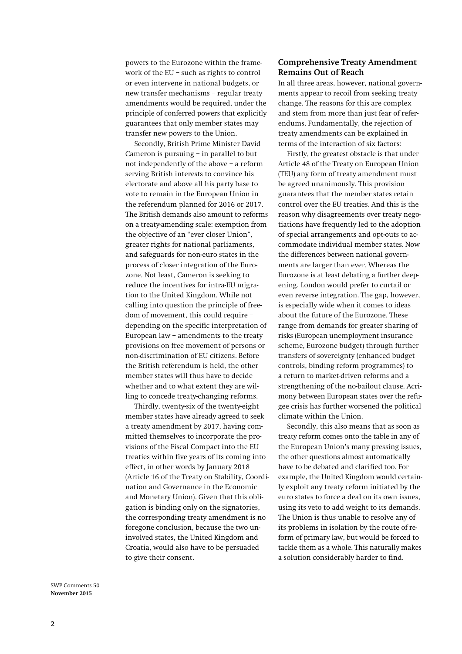powers to the Eurozone within the framework of the EU – such as rights to control or even intervene in national budgets, or new transfer mechanisms – regular treaty amendments would be required, under the principle of conferred powers that explicitly guarantees that only member states may transfer new powers to the Union.

Secondly, British Prime Minister David Cameron is pursuing – in parallel to but not independently of the above – a reform serving British interests to convince his electorate and above all his party base to vote to remain in the European Union in the referendum planned for 2016 or 2017. The British demands also amount to reforms on a treaty-amending scale: exemption from the objective of an "ever closer Union", greater rights for national parliaments, and safeguards for non-euro states in the process of closer integration of the Eurozone. Not least, Cameron is seeking to reduce the incentives for intra-EU migration to the United Kingdom. While not calling into question the principle of freedom of movement, this could require – depending on the specific interpretation of European law – amendments to the treaty provisions on free movement of persons or non-discrimination of EU citizens. Before the British referendum is held, the other member states will thus have to decide whether and to what extent they are willing to concede treaty-changing reforms.

Thirdly, twenty-six of the twenty-eight member states have already agreed to seek a treaty amendment by 2017, having committed themselves to incorporate the provisions of the Fiscal Compact into the EU treaties within five years of its coming into effect, in other words by January 2018 (Article 16 of the Treaty on Stability, Coordination and Governance in the Economic and Monetary Union). Given that this obligation is binding only on the signatories, the corresponding treaty amendment is no foregone conclusion, because the two uninvolved states, the United Kingdom and Croatia, would also have to be persuaded to give their consent.

## **Comprehensive Treaty Amendment Remains Out of Reach**

In all three areas, however, national governments appear to recoil from seeking treaty change. The reasons for this are complex and stem from more than just fear of referendums. Fundamentally, the rejection of treaty amendments can be explained in terms of the interaction of six factors:

Firstly, the greatest obstacle is that under Article 48 of the Treaty on European Union (TEU) any form of treaty amendment must be agreed unanimously. This provision guarantees that the member states retain control over the EU treaties. And this is the reason why disagreements over treaty negotiations have frequently led to the adoption of special arrangements and opt-outs to accommodate individual member states. Now the differences between national governments are larger than ever. Whereas the Eurozone is at least debating a further deepening, London would prefer to curtail or even reverse integration. The gap, however, is especially wide when it comes to ideas about the future of the Eurozone. These range from demands for greater sharing of risks (European unemployment insurance scheme, Eurozone budget) through further transfers of sovereignty (enhanced budget controls, binding reform programmes) to a return to market-driven reforms and a strengthening of the no-bailout clause. Acrimony between European states over the refugee crisis has further worsened the political climate within the Union.

Secondly, this also means that as soon as treaty reform comes onto the table in any of the European Union's many pressing issues, the other questions almost automatically have to be debated and clarified too. For example, the United Kingdom would certainly exploit any treaty reform initiated by the euro states to force a deal on its own issues, using its veto to add weight to its demands. The Union is thus unable to resolve any of its problems in isolation by the route of reform of primary law, but would be forced to tackle them as a whole. This naturally makes a solution considerably harder to find.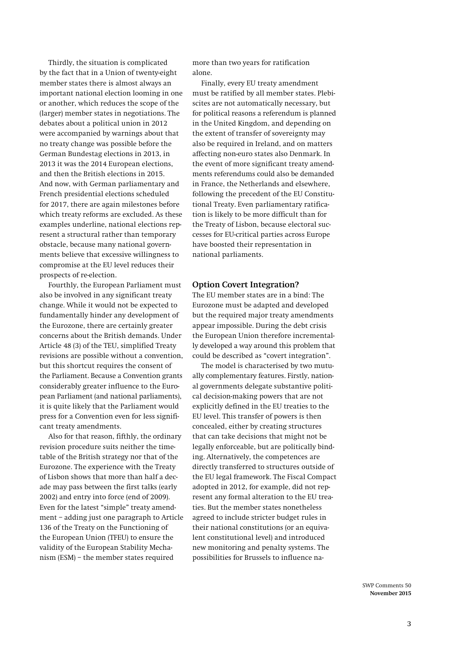Thirdly, the situation is complicated by the fact that in a Union of twenty-eight member states there is almost always an important national election looming in one or another, which reduces the scope of the (larger) member states in negotiations. The debates about a political union in 2012 were accompanied by warnings about that no treaty change was possible before the German Bundestag elections in 2013, in 2013 it was the 2014 European elections, and then the British elections in 2015. And now, with German parliamentary and French presidential elections scheduled for 2017, there are again milestones before which treaty reforms are excluded. As these examples underline, national elections represent a structural rather than temporary obstacle, because many national governments believe that excessive willingness to compromise at the EU level reduces their prospects of re-election.

Fourthly, the European Parliament must also be involved in any significant treaty change. While it would not be expected to fundamentally hinder any development of the Eurozone, there are certainly greater concerns about the British demands. Under Article 48 (3) of the TEU, simplified Treaty revisions are possible without a convention, but this shortcut requires the consent of the Parliament. Because a Convention grants considerably greater influence to the European Parliament (and national parliaments), it is quite likely that the Parliament would press for a Convention even for less significant treaty amendments.

Also for that reason, fifthly, the ordinary revision procedure suits neither the timetable of the British strategy nor that of the Eurozone. The experience with the Treaty of Lisbon shows that more than half a decade may pass between the first talks (early 2002) and entry into force (end of 2009). Even for the latest "simple" treaty amendment – adding just one paragraph to Article 136 of the Treaty on the Functioning of the European Union (TFEU) to ensure the validity of the European Stability Mechanism (ESM) – the member states required

more than two years for ratification alone.

Finally, every EU treaty amendment must be ratified by all member states. Plebiscites are not automatically necessary, but for political reasons a referendum is planned in the United Kingdom, and depending on the extent of transfer of sovereignty may also be required in Ireland, and on matters affecting non-euro states also Denmark. In the event of more significant treaty amendments referendums could also be demanded in France, the Netherlands and elsewhere, following the precedent of the EU Constitutional Treaty. Even parliamentary ratification is likely to be more difficult than for the Treaty of Lisbon, because electoral successes for EU-critical parties across Europe have boosted their representation in national parliaments.

### **Option Covert Integration?**

The EU member states are in a bind: The Eurozone must be adapted and developed but the required major treaty amendments appear impossible. During the debt crisis the European Union therefore incrementally developed a way around this problem that could be described as "covert integration".

The model is characterised by two mutually complementary features. Firstly, national governments delegate substantive political decision-making powers that are not explicitly defined in the EU treaties to the EU level. This transfer of powers is then concealed, either by creating structures that can take decisions that might not be legally enforceable, but are politically binding. Alternatively, the competences are directly transferred to structures outside of the EU legal framework. The Fiscal Compact adopted in 2012, for example, did not represent any formal alteration to the EU treaties. But the member states nonetheless agreed to include stricter budget rules in their national constitutions (or an equivalent constitutional level) and introduced new monitoring and penalty systems. The possibilities for Brussels to influence na-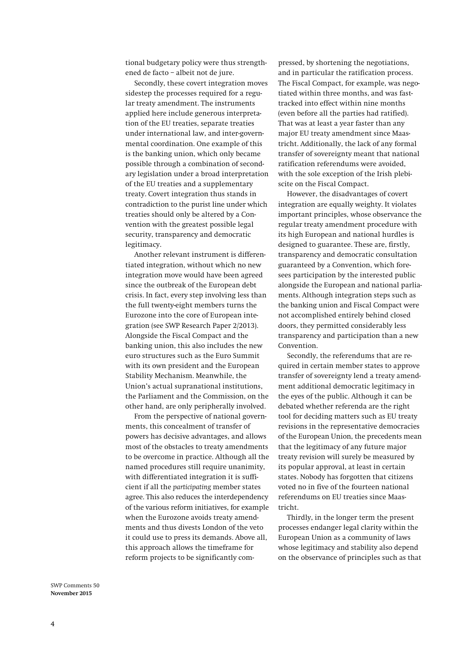tional budgetary policy were thus strengthened de facto – albeit not de jure.

Secondly, these covert integration moves sidestep the processes required for a regular treaty amendment. The instruments applied here include generous interpretation of the EU treaties, separate treaties under international law, and inter-governmental coordination. One example of this is the banking union, which only became possible through a combination of secondary legislation under a broad interpretation of the EU treaties and a supplementary treaty. Covert integration thus stands in contradiction to the purist line under which treaties should only be altered by a Convention with the greatest possible legal security, transparency and democratic legitimacy.

Another relevant instrument is differentiated integration, without which no new integration move would have been agreed since the outbreak of the European debt crisis. In fact, every step involving less than the full twenty-eight members turns the Eurozone into the core of European integration (see SWP Research Paper 2/2013). Alongside the Fiscal Compact and the banking union, this also includes the new euro structures such as the Euro Summit with its own president and the European Stability Mechanism. Meanwhile, the Union's actual supranational institutions, the Parliament and the Commission, on the other hand, are only peripherally involved.

From the perspective of national governments, this concealment of transfer of powers has decisive advantages, and allows most of the obstacles to treaty amendments to be overcome in practice. Although all the named procedures still require unanimity, with differentiated integration it is sufficient if all the *participating* member states agree. This also reduces the interdependency of the various reform initiatives, for example when the Eurozone avoids treaty amendments and thus divests London of the veto it could use to press its demands. Above all, this approach allows the timeframe for reform projects to be significantly com-

pressed, by shortening the negotiations, and in particular the ratification process. The Fiscal Compact, for example, was negotiated within three months, and was fasttracked into effect within nine months (even before all the parties had ratified). That was at least a year faster than any major EU treaty amendment since Maastricht. Additionally, the lack of any formal transfer of sovereignty meant that national ratification referendums were avoided, with the sole exception of the Irish plebiscite on the Fiscal Compact.

However, the disadvantages of covert integration are equally weighty. It violates important principles, whose observance the regular treaty amendment procedure with its high European and national hurdles is designed to guarantee. These are, firstly, transparency and democratic consultation guaranteed by a Convention, which foresees participation by the interested public alongside the European and national parliaments. Although integration steps such as the banking union and Fiscal Compact were not accomplished entirely behind closed doors, they permitted considerably less transparency and participation than a new Convention.

Secondly, the referendums that are required in certain member states to approve transfer of sovereignty lend a treaty amendment additional democratic legitimacy in the eyes of the public. Although it can be debated whether referenda are the right tool for deciding matters such as EU treaty revisions in the representative democracies of the European Union, the precedents mean that the legitimacy of any future major treaty revision will surely be measured by its popular approval, at least in certain states. Nobody has forgotten that citizens voted no in five of the fourteen national referendums on EU treaties since Maastricht.

Thirdly, in the longer term the present processes endanger legal clarity within the European Union as a community of laws whose legitimacy and stability also depend on the observance of principles such as that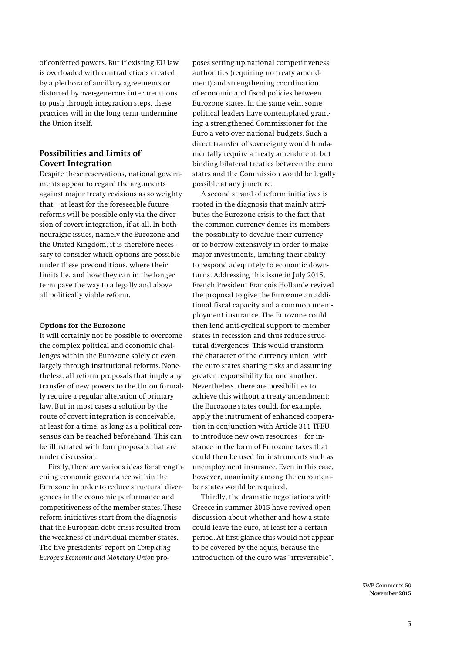of conferred powers. But if existing EU law is overloaded with contradictions created by a plethora of ancillary agreements or distorted by over-generous interpretations to push through integration steps, these practices will in the long term undermine the Union itself.

## **Possibilities and Limits of Covert Integration**

Despite these reservations, national governments appear to regard the arguments against major treaty revisions as so weighty that – at least for the foreseeable future – reforms will be possible only via the diversion of covert integration, if at all. In both neuralgic issues, namely the Eurozone and the United Kingdom, it is therefore necessary to consider which options are possible under these preconditions, where their limits lie, and how they can in the longer term pave the way to a legally and above all politically viable reform.

#### **Options for the Eurozone**

It will certainly not be possible to overcome the complex political and economic challenges within the Eurozone solely or even largely through institutional reforms. Nonetheless, all reform proposals that imply any transfer of new powers to the Union formally require a regular alteration of primary law. But in most cases a solution by the route of covert integration is conceivable, at least for a time, as long as a political consensus can be reached beforehand. This can be illustrated with four proposals that are under discussion.

Firstly, there are various ideas for strengthening economic governance within the Eurozone in order to reduce structural divergences in the economic performance and competitiveness of the member states. These reform initiatives start from the diagnosis that the European debt crisis resulted from the weakness of individual member states. The five presidents' report on *Completing Europe's Economic and Monetary Union* pro-

poses setting up national competitiveness authorities (requiring no treaty amendment) and strengthening coordination of economic and fiscal policies between Eurozone states. In the same vein, some political leaders have contemplated granting a strengthened Commissioner for the Euro a veto over national budgets. Such a direct transfer of sovereignty would fundamentally require a treaty amendment, but binding bilateral treaties between the euro states and the Commission would be legally possible at any juncture.

A second strand of reform initiatives is rooted in the diagnosis that mainly attributes the Eurozone crisis to the fact that the common currency denies its members the possibility to devalue their currency or to borrow extensively in order to make major investments, limiting their ability to respond adequately to economic downturns. Addressing this issue in July 2015, French President François Hollande revived the proposal to give the Eurozone an additional fiscal capacity and a common unemployment insurance. The Eurozone could then lend anti-cyclical support to member states in recession and thus reduce structural divergences. This would transform the character of the currency union, with the euro states sharing risks and assuming greater responsibility for one another. Nevertheless, there are possibilities to achieve this without a treaty amendment: the Eurozone states could, for example, apply the instrument of enhanced cooperation in conjunction with Article 311 TFEU to introduce new own resources – for instance in the form of Eurozone taxes that could then be used for instruments such as unemployment insurance. Even in this case, however, unanimity among the euro member states would be required.

Thirdly, the dramatic negotiations with Greece in summer 2015 have revived open discussion about whether and how a state could leave the euro, at least for a certain period. At first glance this would not appear to be covered by the aquis, because the introduction of the euro was "irreversible".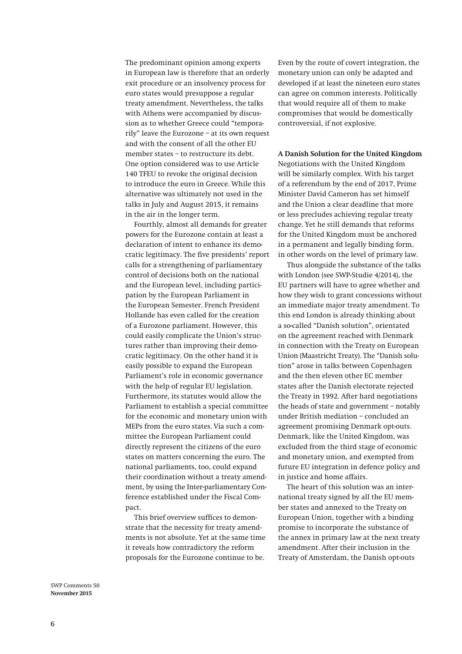The predominant opinion among experts in European law is therefore that an orderly exit procedure or an insolvency process for euro states would presuppose a regular treaty amendment. Nevertheless, the talks with Athens were accompanied by discussion as to whether Greece could "temporarily" leave the Eurozone – at its own request and with the consent of all the other EU member states – to restructure its debt. One option considered was to use Article 140 TFEU to revoke the original decision to introduce the euro in Greece. While this alternative was ultimately not used in the talks in July and August 2015, it remains in the air in the longer term.

Fourthly, almost all demands for greater powers for the Eurozone contain at least a declaration of intent to enhance its democratic legitimacy. The five presidents' report calls for a strengthening of parliamentary control of decisions both on the national and the European level, including participation by the European Parliament in the European Semester. French President Hollande has even called for the creation of a Eurozone parliament. However, this could easily complicate the Union's structures rather than improving their democratic legitimacy. On the other hand it is easily possible to expand the European Parliament's role in economic governance with the help of regular EU legislation. Furthermore, its statutes would allow the Parliament to establish a special committee for the economic and monetary union with MEPs from the euro states. Via such a committee the European Parliament could directly represent the citizens of the euro states on matters concerning the euro. The national parliaments, too, could expand their coordination without a treaty amendment, by using the Inter-parliamentary Conference established under the Fiscal Compact.

This brief overview suffices to demonstrate that the necessity for treaty amendments is not absolute. Yet at the same time it reveals how contradictory the reform proposals for the Eurozone continue to be.

Even by the route of covert integration, the monetary union can only be adapted and developed if at least the nineteen euro states can agree on common interests. Politically that would require all of them to make compromises that would be domestically controversial, if not explosive.

## **A Danish Solution for the United Kingdom**

Negotiations with the United Kingdom will be similarly complex. With his target of a referendum by the end of 2017, Prime Minister David Cameron has set himself and the Union a clear deadline that more or less precludes achieving regular treaty change. Yet he still demands that reforms for the United Kingdom must be anchored in a permanent and legally binding form, in other words on the level of primary law.

Thus alongside the substance of the talks with London (see SWP-Studie 4/2014), the EU partners will have to agree whether and how they wish to grant concessions without an immediate major treaty amendment. To this end London is already thinking about a so-called "Danish solution", orientated on the agreement reached with Denmark in connection with the Treaty on European Union (Maastricht Treaty). The "Danish solution" arose in talks between Copenhagen and the then eleven other EC member states after the Danish electorate rejected the Treaty in 1992. After hard negotiations the heads of state and government – notably under British mediation – concluded an agreement promising Denmark opt-outs. Denmark, like the United Kingdom, was excluded from the third stage of economic and monetary union, and exempted from future EU integration in defence policy and in justice and home affairs.

The heart of this solution was an international treaty signed by all the EU member states and annexed to the Treaty on European Union, together with a binding promise to incorporate the substance of the annex in primary law at the next treaty amendment. After their inclusion in the Treaty of Amsterdam, the Danish opt-outs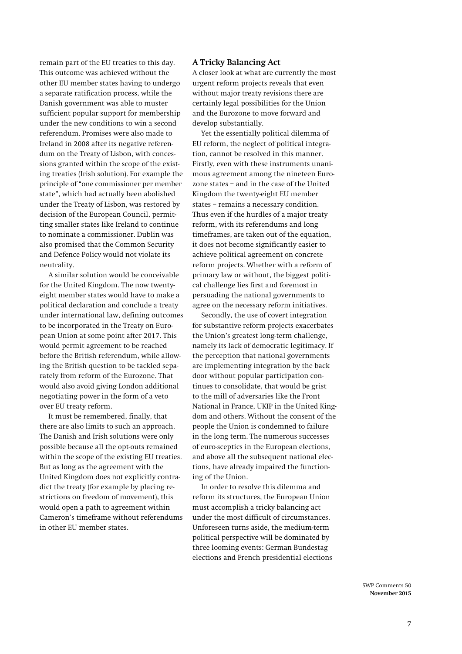remain part of the EU treaties to this day. This outcome was achieved without the other EU member states having to undergo a separate ratification process, while the Danish government was able to muster sufficient popular support for membership under the new conditions to win a second referendum. Promises were also made to Ireland in 2008 after its negative referendum on the Treaty of Lisbon, with concessions granted within the scope of the existing treaties (Irish solution). For example the principle of "one commissioner per member state", which had actually been abolished under the Treaty of Lisbon, was restored by decision of the European Council, permitting smaller states like Ireland to continue to nominate a commissioner. Dublin was also promised that the Common Security and Defence Policy would not violate its neutrality.

A similar solution would be conceivable for the United Kingdom. The now twentyeight member states would have to make a political declaration and conclude a treaty under international law, defining outcomes to be incorporated in the Treaty on European Union at some point after 2017. This would permit agreement to be reached before the British referendum, while allowing the British question to be tackled separately from reform of the Eurozone. That would also avoid giving London additional negotiating power in the form of a veto over EU treaty reform.

It must be remembered, finally, that there are also limits to such an approach. The Danish and Irish solutions were only possible because all the opt-outs remained within the scope of the existing EU treaties. But as long as the agreement with the United Kingdom does not explicitly contradict the treaty (for example by placing restrictions on freedom of movement), this would open a path to agreement within Cameron's timeframe without referendums in other EU member states.

## **A Tricky Balancing Act**

A closer look at what are currently the most urgent reform projects reveals that even without major treaty revisions there are certainly legal possibilities for the Union and the Eurozone to move forward and develop substantially.

Yet the essentially political dilemma of EU reform, the neglect of political integration, cannot be resolved in this manner. Firstly, even with these instruments unanimous agreement among the nineteen Eurozone states – and in the case of the United Kingdom the twenty-eight EU member states – remains a necessary condition. Thus even if the hurdles of a major treaty reform, with its referendums and long timeframes, are taken out of the equation, it does not become significantly easier to achieve political agreement on concrete reform projects. Whether with a reform of primary law or without, the biggest political challenge lies first and foremost in persuading the national governments to agree on the necessary reform initiatives.

Secondly, the use of covert integration for substantive reform projects exacerbates the Union's greatest long-term challenge, namely its lack of democratic legitimacy. If the perception that national governments are implementing integration by the back door without popular participation continues to consolidate, that would be grist to the mill of adversaries like the Front National in France, UKIP in the United Kingdom and others. Without the consent of the people the Union is condemned to failure in the long term. The numerous successes of euro-sceptics in the European elections, and above all the subsequent national elections, have already impaired the functioning of the Union.

In order to resolve this dilemma and reform its structures, the European Union must accomplish a tricky balancing act under the most difficult of circumstances. Unforeseen turns aside, the medium-term political perspective will be dominated by three looming events: German Bundestag elections and French presidential elections